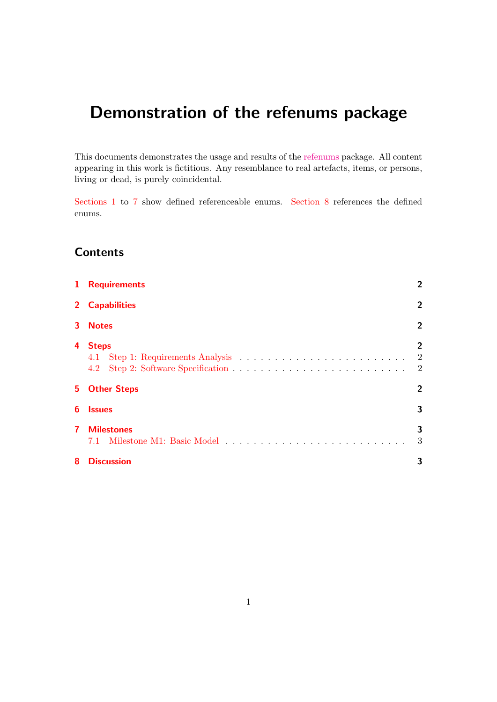# Demonstration of the refenums package

This documents demonstrates the usage and results of the [refenums](http://www.ctan.org/pkg/refenums) package. All content appearing in this work is fictitious. Any resemblance to real artefacts, items, or persons, living or dead, is purely coincidental.

[Sections 1](#page-1-0) to [7](#page-2-0) show defined referenceable enums. [Section 8](#page-2-1) references the defined enums.

# **Contents**

| $\mathbf{1}$ | <b>Requirements</b>        | 2                                     |
|--------------|----------------------------|---------------------------------------|
| $2^{\circ}$  | <b>Capabilities</b>        | $\overline{2}$                        |
| 3            | <b>Notes</b>               | $\overline{2}$                        |
| 4            | <b>Steps</b><br>4.1<br>4.2 | $\overline{2}$<br>$\overline{2}$<br>2 |
| 5.           | <b>Other Steps</b>         | $\overline{2}$                        |
| 6            | <b>Issues</b>              | 3                                     |
| 7            | <b>Milestones</b>          | 3<br>3                                |
| 8            | <b>Discussion</b>          | 3                                     |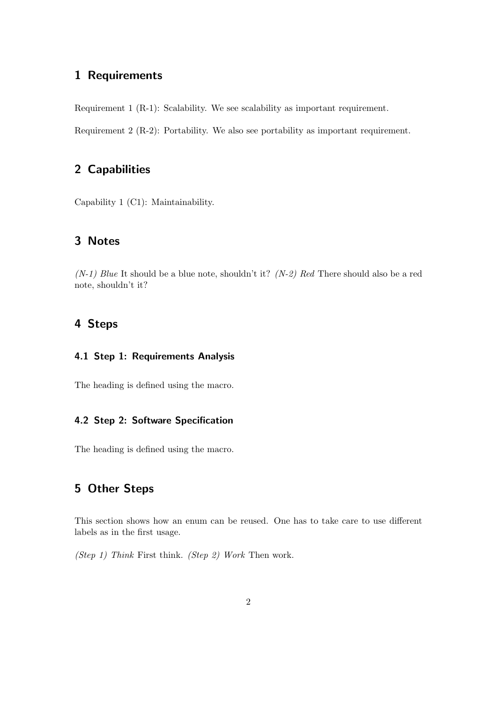## <span id="page-1-0"></span>1 Requirements

<span id="page-1-8"></span><span id="page-1-7"></span>Requirement 1 (R-1): Scalability. We see scalability as important requirement.

Requirement 2 (R-2): Portability. We also see portability as important requirement.

## <span id="page-1-1"></span>2 Capabilities

<span id="page-1-9"></span>Capability 1 (C1): Maintainability.

### <span id="page-1-2"></span>3 Notes

<span id="page-1-10"></span> $(N-1)$  Blue It should be a blue note, shouldn't it?  $(N-2)$  Red There should also be a red note, shouldn't it?

## <span id="page-1-3"></span>4 Steps

#### <span id="page-1-4"></span>4.1 Step 1: Requirements Analysis

<span id="page-1-11"></span>The heading is defined using the macro.

#### <span id="page-1-5"></span>4.2 Step 2: Software Specification

The heading is defined using the macro.

# <span id="page-1-6"></span>5 Other Steps

This section shows how an enum can be reused. One has to take care to use different labels as in the first usage.

(Step 1) Think First think. (Step 2) Work Then work.